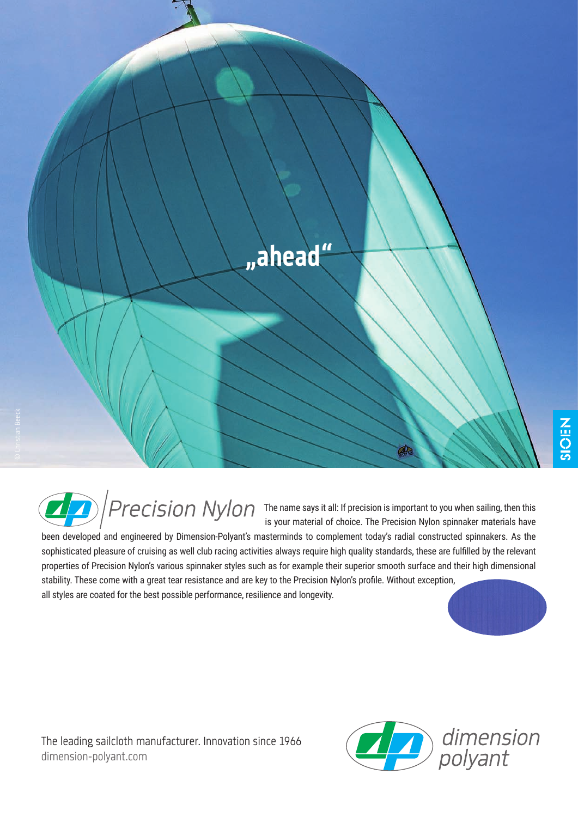

The name says it all: If precision is important to you when sailing, then this is your material of choice. The Precision Nylon spinnaker materials have

been developed and engineered by Dimension-Polyant's masterminds to complement today's radial constructed spinnakers. As the sophisticated pleasure of cruising as well club racing activities always require high quality standards, these are fulfilled by the relevant properties of Precision Nylon's various spinnaker styles such as for example their superior smooth surface and their high dimensional stability. These come with a great tear resistance and are key to the Precision Nylon's profile. Without exception, all styles are coated for the best possible performance, resilience and longevity.

The leading sailcloth manufacturer. Innovation since 1966 dimension-polyant.com